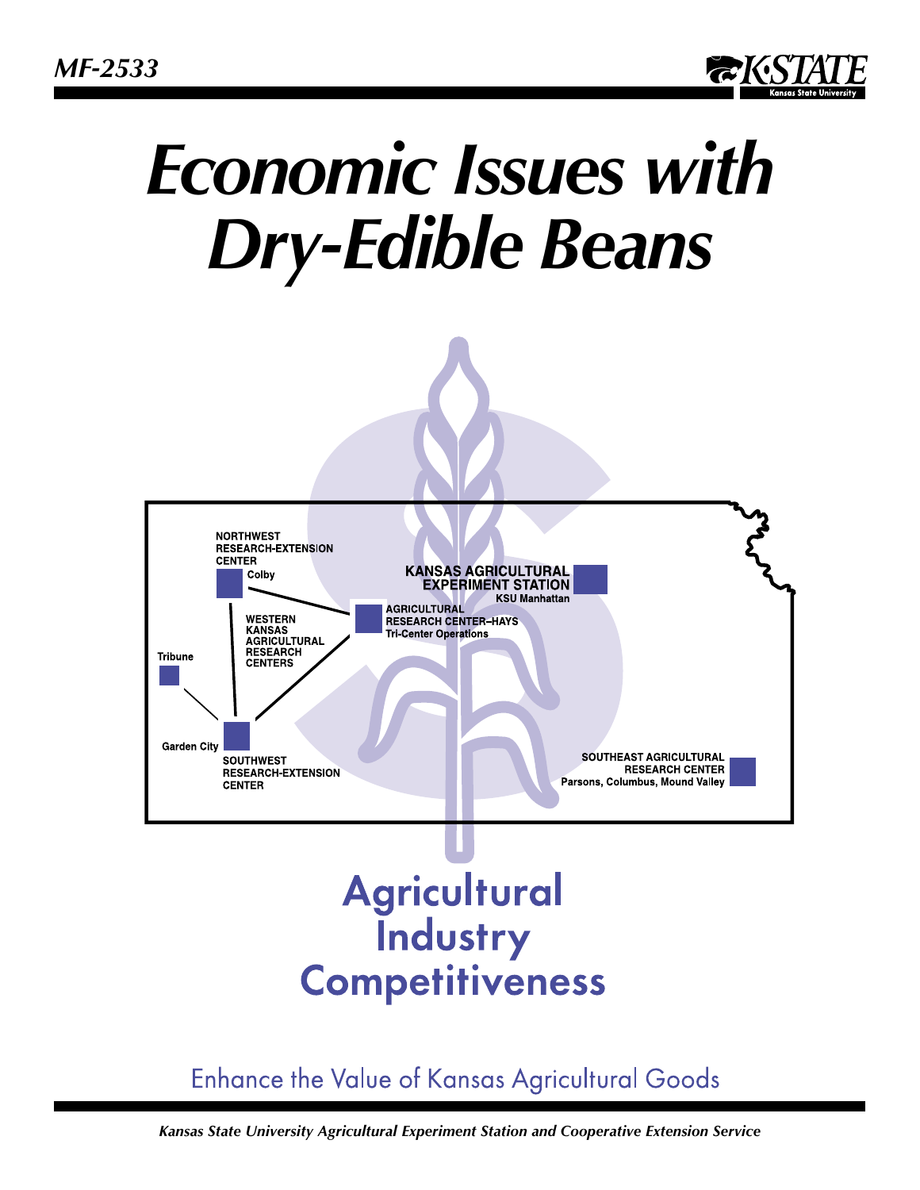

# *Economic Issues with Dry-Edible Beans*



## **Enhance the Value of Kansas Agricultural Goods**

*Kansas State University Agricultural Experiment Station and Cooperative Extension Service*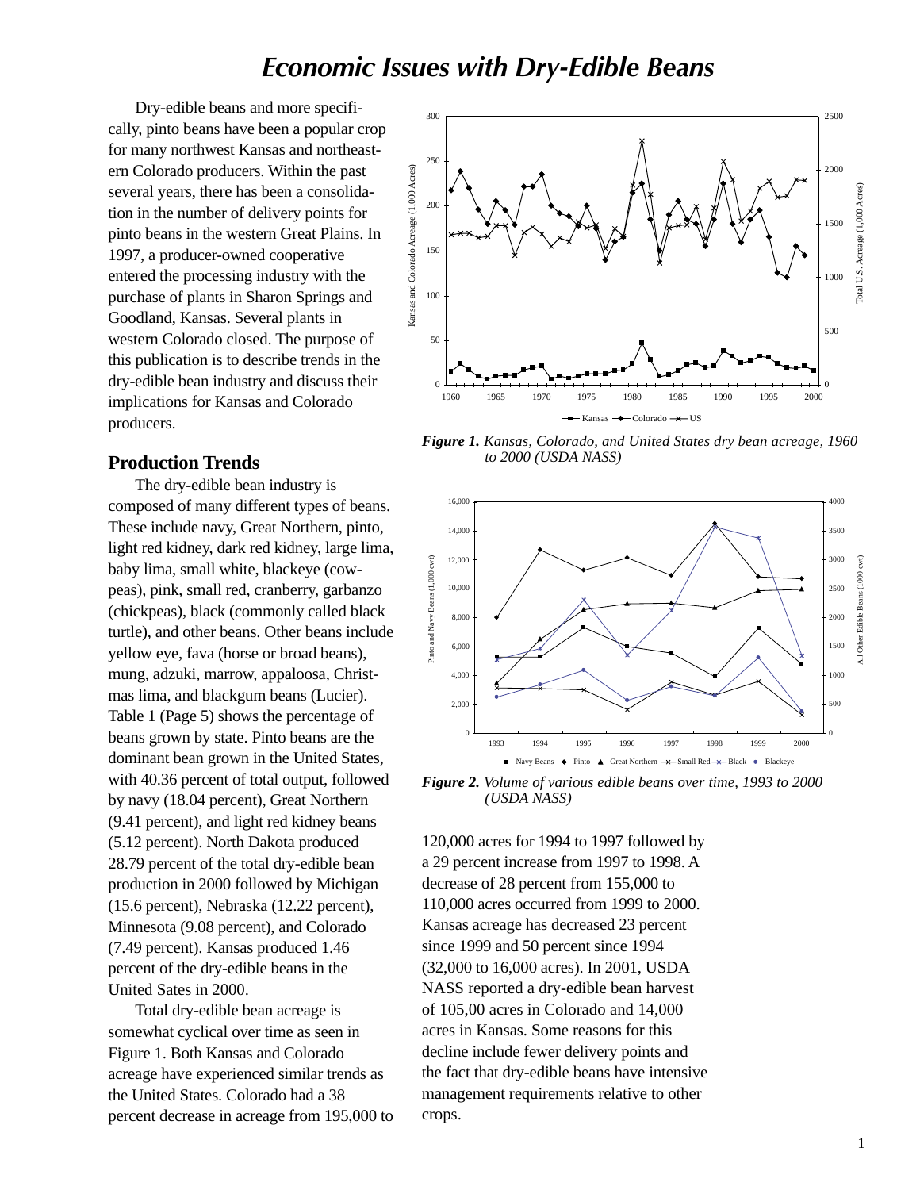### *Economic Issues with Dry-Edible Beans*

Dry-edible beans and more specifically, pinto beans have been a popular crop for many northwest Kansas and northeastern Colorado producers. Within the past several years, there has been a consolidation in the number of delivery points for pinto beans in the western Great Plains. In 1997, a producer-owned cooperative entered the processing industry with the purchase of plants in Sharon Springs and Goodland, Kansas. Several plants in western Colorado closed. The purpose of this publication is to describe trends in the dry-edible bean industry and discuss their implications for Kansas and Colorado producers.



*Figure 1. Kansas, Colorado, and United States dry bean acreage, 1960 to 2000 (USDA NASS)*



composed of many different types of beans. These include navy, Great Northern, pinto, light red kidney, dark red kidney, large lima, baby lima, small white, blackeye (cowpeas), pink, small red, cranberry, garbanzo (chickpeas), black (commonly called black turtle), and other beans. Other beans include yellow eye, fava (horse or broad beans), mung, adzuki, marrow, appaloosa, Christmas lima, and blackgum beans (Lucier). Table 1 (Page 5) shows the percentage of beans grown by state. Pinto beans are the dominant bean grown in the United States, with 40.36 percent of total output, followed by navy (18.04 percent), Great Northern (9.41 percent), and light red kidney beans (5.12 percent). North Dakota produced 28.79 percent of the total dry-edible bean production in 2000 followed by Michigan (15.6 percent), Nebraska (12.22 percent), Minnesota (9.08 percent), and Colorado (7.49 percent). Kansas produced 1.46 percent of the dry-edible beans in the United Sates in 2000.

Total dry-edible bean acreage is somewhat cyclical over time as seen in Figure 1. Both Kansas and Colorado acreage have experienced similar trends as the United States. Colorado had a 38 percent decrease in acreage from 195,000 to



*Figure 2. Volume of various edible beans over time, 1993 to 2000 (USDA NASS)*

120,000 acres for 1994 to 1997 followed by a 29 percent increase from 1997 to 1998. A decrease of 28 percent from 155,000 to 110,000 acres occurred from 1999 to 2000. Kansas acreage has decreased 23 percent since 1999 and 50 percent since 1994 (32,000 to 16,000 acres). In 2001, USDA NASS reported a dry-edible bean harvest of 105,00 acres in Colorado and 14,000 acres in Kansas. Some reasons for this decline include fewer delivery points and the fact that dry-edible beans have intensive management requirements relative to other crops.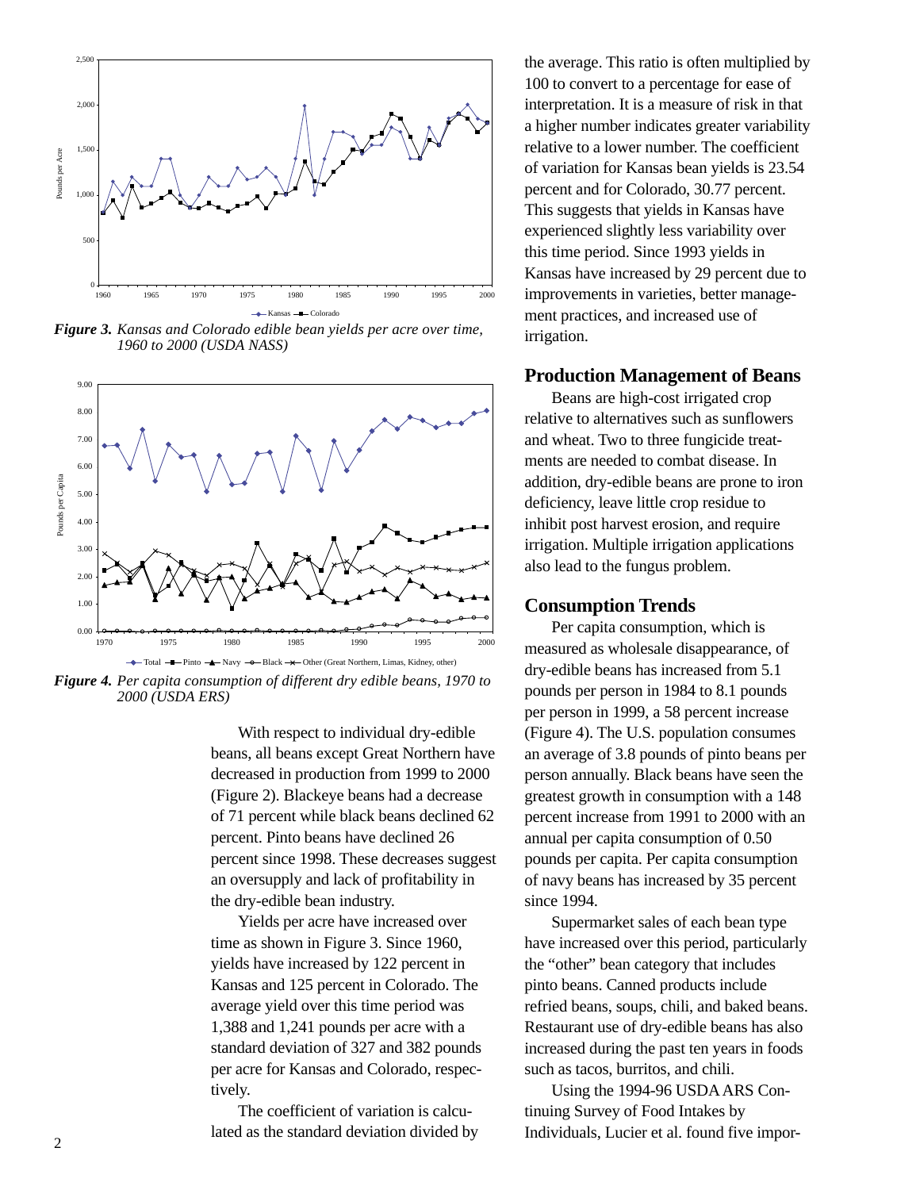

*Figure 3. Kansas and Colorado edible bean yields per acre over time, 1960 to 2000 (USDA NASS)*



*Figure 4. Per capita consumption of different dry edible beans, 1970 to 2000 (USDA ERS)*

With respect to individual dry-edible beans, all beans except Great Northern have decreased in production from 1999 to 2000 (Figure 2). Blackeye beans had a decrease of 71 percent while black beans declined 62 percent. Pinto beans have declined 26 percent since 1998. These decreases suggest an oversupply and lack of profitability in the dry-edible bean industry.

Yields per acre have increased over time as shown in Figure 3. Since 1960, yields have increased by 122 percent in Kansas and 125 percent in Colorado. The average yield over this time period was 1,388 and 1,241 pounds per acre with a standard deviation of 327 and 382 pounds per acre for Kansas and Colorado, respectively.

The coefficient of variation is calculated as the standard deviation divided by the average. This ratio is often multiplied by 100 to convert to a percentage for ease of interpretation. It is a measure of risk in that a higher number indicates greater variability relative to a lower number. The coefficient of variation for Kansas bean yields is 23.54 percent and for Colorado, 30.77 percent. This suggests that yields in Kansas have experienced slightly less variability over this time period. Since 1993 yields in Kansas have increased by 29 percent due to improvements in varieties, better management practices, and increased use of irrigation.

#### **Production Management of Beans**

Beans are high-cost irrigated crop relative to alternatives such as sunflowers and wheat. Two to three fungicide treatments are needed to combat disease. In addition, dry-edible beans are prone to iron deficiency, leave little crop residue to inhibit post harvest erosion, and require irrigation. Multiple irrigation applications also lead to the fungus problem.

#### **Consumption Trends**

Per capita consumption, which is measured as wholesale disappearance, of dry-edible beans has increased from 5.1 pounds per person in 1984 to 8.1 pounds per person in 1999, a 58 percent increase (Figure 4). The U.S. population consumes an average of 3.8 pounds of pinto beans per person annually. Black beans have seen the greatest growth in consumption with a 148 percent increase from 1991 to 2000 with an annual per capita consumption of 0.50 pounds per capita. Per capita consumption of navy beans has increased by 35 percent since 1994.

Supermarket sales of each bean type have increased over this period, particularly the "other" bean category that includes pinto beans. Canned products include refried beans, soups, chili, and baked beans. Restaurant use of dry-edible beans has also increased during the past ten years in foods such as tacos, burritos, and chili.

Using the 1994-96 USDA ARS Continuing Survey of Food Intakes by Individuals, Lucier et al. found five impor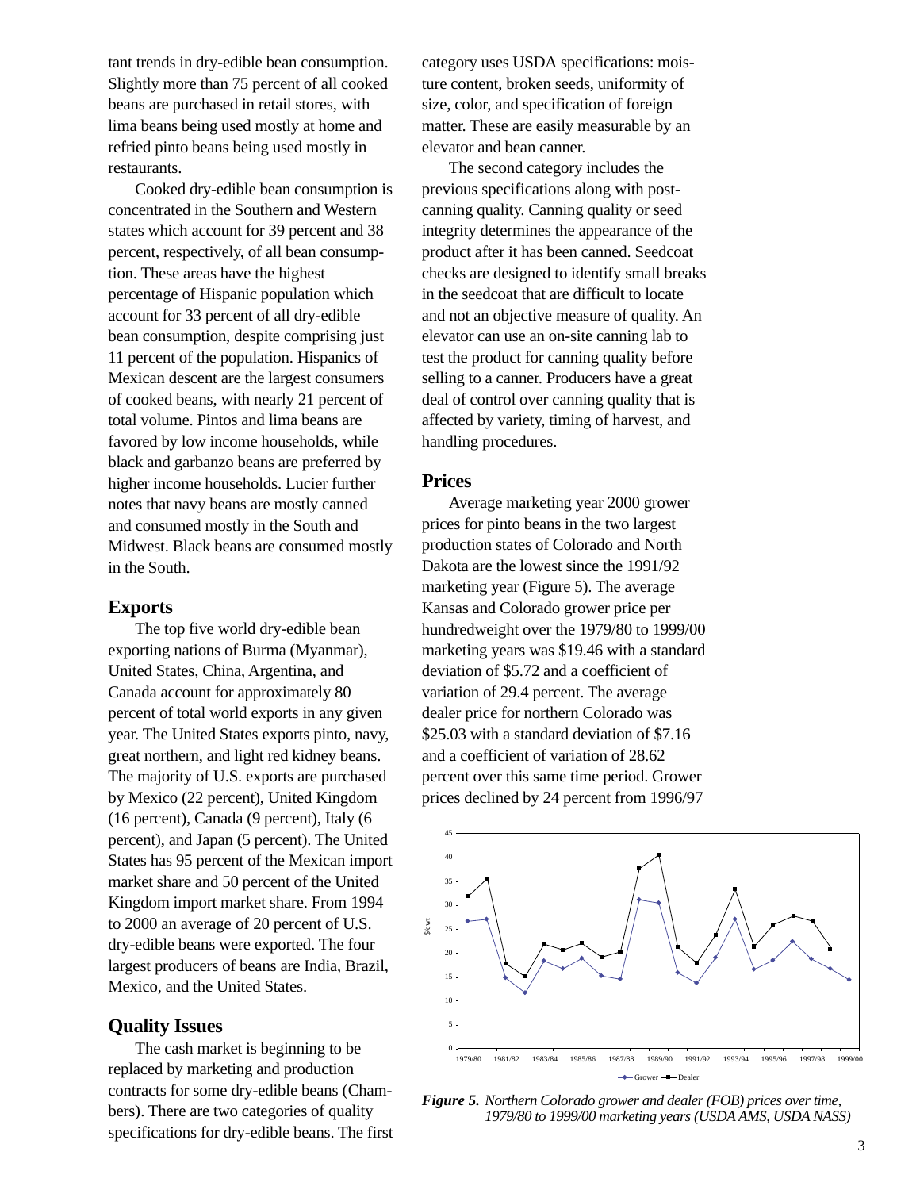tant trends in dry-edible bean consumption. Slightly more than 75 percent of all cooked beans are purchased in retail stores, with lima beans being used mostly at home and refried pinto beans being used mostly in restaurants.

Cooked dry-edible bean consumption is concentrated in the Southern and Western states which account for 39 percent and 38 percent, respectively, of all bean consumption. These areas have the highest percentage of Hispanic population which account for 33 percent of all dry-edible bean consumption, despite comprising just 11 percent of the population. Hispanics of Mexican descent are the largest consumers of cooked beans, with nearly 21 percent of total volume. Pintos and lima beans are favored by low income households, while black and garbanzo beans are preferred by higher income households. Lucier further notes that navy beans are mostly canned and consumed mostly in the South and Midwest. Black beans are consumed mostly in the South.

#### **Exports**

The top five world dry-edible bean exporting nations of Burma (Myanmar), United States, China, Argentina, and Canada account for approximately 80 percent of total world exports in any given year. The United States exports pinto, navy, great northern, and light red kidney beans. The majority of U.S. exports are purchased by Mexico (22 percent), United Kingdom (16 percent), Canada (9 percent), Italy (6 percent), and Japan (5 percent). The United States has 95 percent of the Mexican import market share and 50 percent of the United Kingdom import market share. From 1994 to 2000 an average of 20 percent of U.S. dry-edible beans were exported. The four largest producers of beans are India, Brazil, Mexico, and the United States.

#### **Quality Issues**

The cash market is beginning to be replaced by marketing and production contracts for some dry-edible beans (Chambers). There are two categories of quality specifications for dry-edible beans. The first

category uses USDA specifications: moisture content, broken seeds, uniformity of size, color, and specification of foreign matter. These are easily measurable by an elevator and bean canner.

The second category includes the previous specifications along with postcanning quality. Canning quality or seed integrity determines the appearance of the product after it has been canned. Seedcoat checks are designed to identify small breaks in the seedcoat that are difficult to locate and not an objective measure of quality. An elevator can use an on-site canning lab to test the product for canning quality before selling to a canner. Producers have a great deal of control over canning quality that is affected by variety, timing of harvest, and handling procedures.

#### **Prices**

Average marketing year 2000 grower prices for pinto beans in the two largest production states of Colorado and North Dakota are the lowest since the 1991/92 marketing year (Figure 5). The average Kansas and Colorado grower price per hundredweight over the 1979/80 to 1999/00 marketing years was \$19.46 with a standard deviation of \$5.72 and a coefficient of variation of 29.4 percent. The average dealer price for northern Colorado was \$25.03 with a standard deviation of \$7.16 and a coefficient of variation of 28.62 percent over this same time period. Grower prices declined by 24 percent from 1996/97



*Figure 5. Northern Colorado grower and dealer (FOB) prices over time, 1979/80 to 1999/00 marketing years (USDA AMS, USDA NASS)*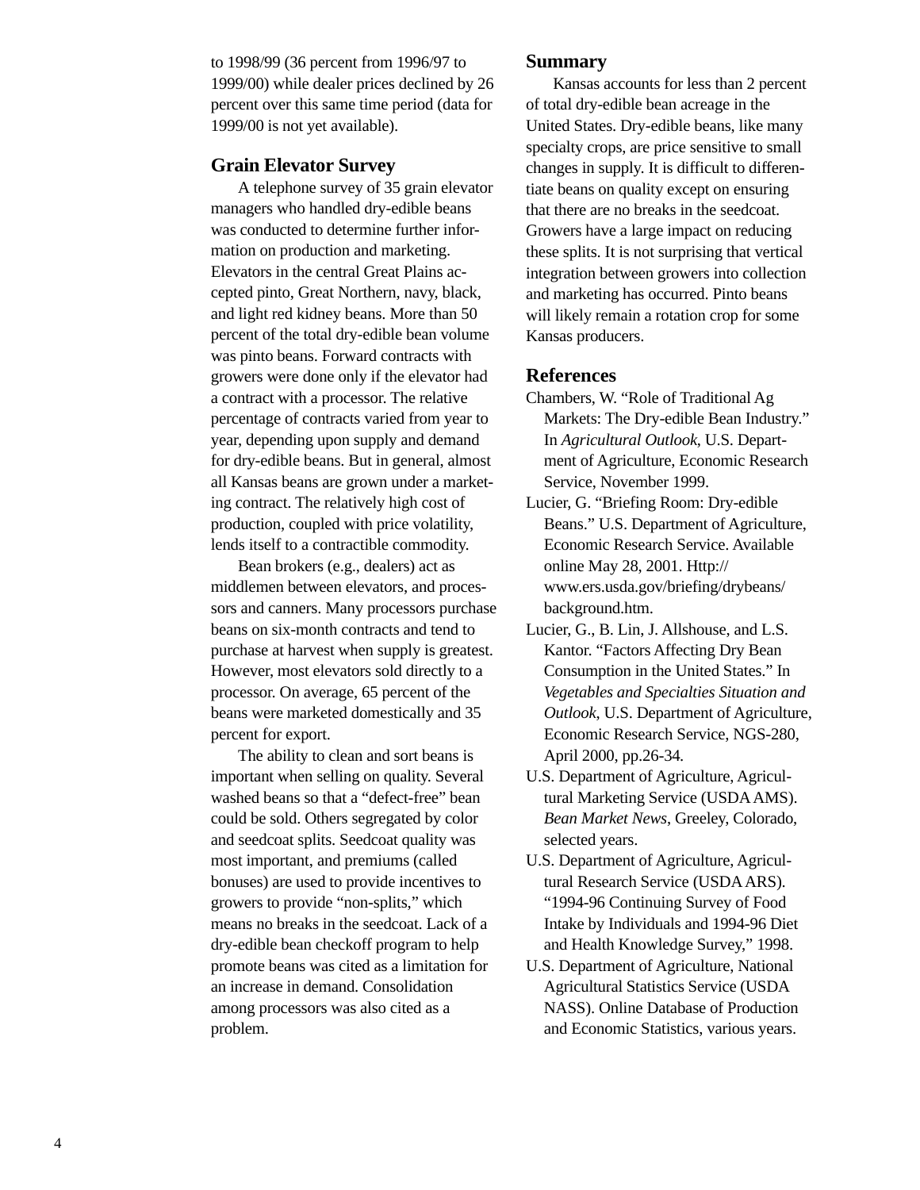to 1998/99 (36 percent from 1996/97 to 1999/00) while dealer prices declined by 26 percent over this same time period (data for 1999/00 is not yet available).

#### **Grain Elevator Survey**

A telephone survey of 35 grain elevator managers who handled dry-edible beans was conducted to determine further information on production and marketing. Elevators in the central Great Plains accepted pinto, Great Northern, navy, black, and light red kidney beans. More than 50 percent of the total dry-edible bean volume was pinto beans. Forward contracts with growers were done only if the elevator had a contract with a processor. The relative percentage of contracts varied from year to year, depending upon supply and demand for dry-edible beans. But in general, almost all Kansas beans are grown under a marketing contract. The relatively high cost of production, coupled with price volatility, lends itself to a contractible commodity.

Bean brokers (e.g., dealers) act as middlemen between elevators, and processors and canners. Many processors purchase beans on six-month contracts and tend to purchase at harvest when supply is greatest. However, most elevators sold directly to a processor. On average, 65 percent of the beans were marketed domestically and 35 percent for export.

The ability to clean and sort beans is important when selling on quality. Several washed beans so that a "defect-free" bean could be sold. Others segregated by color and seedcoat splits. Seedcoat quality was most important, and premiums (called bonuses) are used to provide incentives to growers to provide "non-splits," which means no breaks in the seedcoat. Lack of a dry-edible bean checkoff program to help promote beans was cited as a limitation for an increase in demand. Consolidation among processors was also cited as a problem.

#### **Summary**

Kansas accounts for less than 2 percent of total dry-edible bean acreage in the United States. Dry-edible beans, like many specialty crops, are price sensitive to small changes in supply. It is difficult to differentiate beans on quality except on ensuring that there are no breaks in the seedcoat. Growers have a large impact on reducing these splits. It is not surprising that vertical integration between growers into collection and marketing has occurred. Pinto beans will likely remain a rotation crop for some Kansas producers.

#### **References**

- Chambers, W. "Role of Traditional Ag Markets: The Dry-edible Bean Industry." In *Agricultural Outlook*, U.S. Department of Agriculture, Economic Research Service, November 1999.
- Lucier, G. "Briefing Room: Dry-edible Beans." U.S. Department of Agriculture, Economic Research Service. Available online May 28, 2001. Http:// www.ers.usda.gov/briefing/drybeans/ background.htm.
- Lucier, G., B. Lin, J. Allshouse, and L.S. Kantor. "Factors Affecting Dry Bean Consumption in the United States." In *Vegetables and Specialties Situation and Outlook*, U.S. Department of Agriculture, Economic Research Service, NGS-280, April 2000, pp.26-34*.*
- U.S. Department of Agriculture, Agricultural Marketing Service (USDA AMS). *Bean Market News*, Greeley, Colorado, selected years.
- U.S. Department of Agriculture, Agricultural Research Service (USDA ARS). "1994-96 Continuing Survey of Food Intake by Individuals and 1994-96 Diet and Health Knowledge Survey," 1998.
- U.S. Department of Agriculture, National Agricultural Statistics Service (USDA NASS). Online Database of Production and Economic Statistics, various years.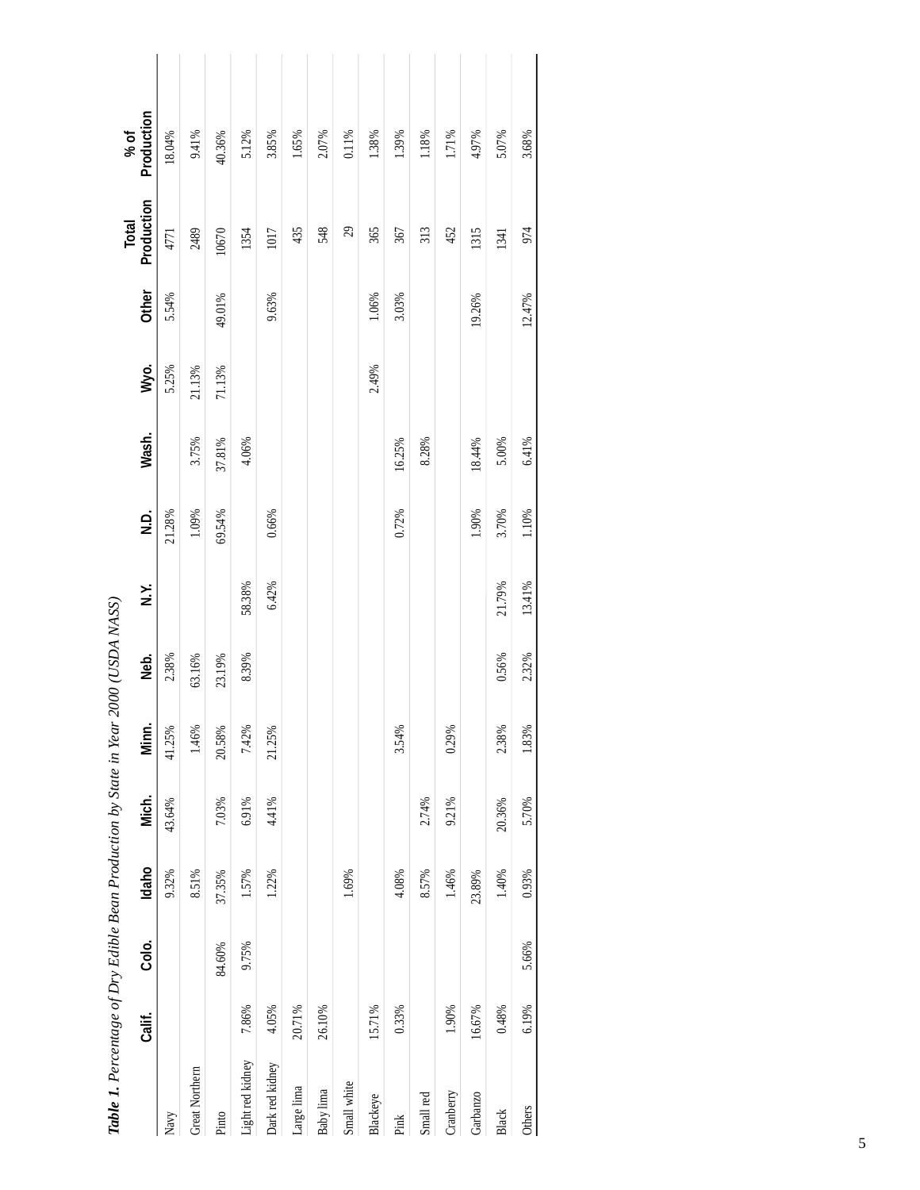| <b>Table 1'</b> Lettewards and $\sum$ is the peak Liberal Condition by part in Ten | Calif. | Colo.  | Idaho  | Mich.  | Minn   | וננגראו הענט   2000<br>Neb. | Y.<br>N.Y. | oj<br>Z | Wash.    | Wyo.   | Other  | Production<br>Total | Production<br>% of |  |
|------------------------------------------------------------------------------------|--------|--------|--------|--------|--------|-----------------------------|------------|---------|----------|--------|--------|---------------------|--------------------|--|
| Navy                                                                               |        |        | 9.32%  | 43.64% | 41.25% | 2.38%                       |            | 21.28%  |          | 5.25%  | 5.54%  | 4771                | 18.04%             |  |
| Great Northern                                                                     |        |        | 8.51%  |        | 1.46%  | 63.16%                      |            | 1.09%   | 3.75%    | 21.13% |        | 2489                | 9.41%              |  |
| Pinto                                                                              |        | 84.60% | 37.35% | 7.03%  | 20.58% | 23.19%                      |            | 69.54%  | 37.81%   | 71.13% | 49.01% | 10670               | 40.36%             |  |
| Light red kidney                                                                   | 7.86%  | 9.75%  | 1.57%  | 6.91%  | 7.42%  | 8.39%                       | 58.38%     |         | 4.06%    |        |        | 1354                | 5.12%              |  |
| Dark red kidney                                                                    | 4.05%  |        | 1.22%  | 4.41%  | 21.25% |                             | 6.42%      | 0.66%   |          |        | 9.63%  | 1017                | 3.85%              |  |
| Large lima                                                                         | 20.71% |        |        |        |        |                             |            |         |          |        |        | 435                 | 1.65%              |  |
| Baby lima                                                                          | 26.10% |        |        |        |        |                             |            |         |          |        |        | 548                 | 2.07%              |  |
| Small white                                                                        |        |        | 1.69%  |        |        |                             |            |         |          |        |        | 29                  | 0.11%              |  |
| Blackeye                                                                           | 15.71% |        |        |        |        |                             |            |         |          | 2.49%  | 1.06%  | 365                 | 1.38%              |  |
| Pink                                                                               | 0.33%  |        | 4.08%  |        | 3.54%  |                             |            | 0.72%   | 16.25%   |        | 3.03%  | 367                 | 1.39%              |  |
| Small red                                                                          |        |        | 8.57%  | 2.74%  |        |                             |            |         | 8.28%    |        |        | 313                 | $1.18\%$           |  |
| Cranberry                                                                          | 1.90%  |        | 1.46%  | 9.21%  | 0.29%  |                             |            |         |          |        |        | 452                 | 1.71%              |  |
| Garbanzo                                                                           | 16.67% |        | 23.89% |        |        |                             |            | 1.90%   | 18.44%   |        | 19.26% | 1315                | 4.97%              |  |
| Black                                                                              | 0.48%  |        | 1.40%  | 20.36% | 2.38%  | 0.56%                       | 21.79%     | 3.70%   | $5.00\%$ |        |        | 1341                | 5.07%              |  |
| Others                                                                             | 6.19%  | 5.66%  | 0.93%  | 5.70%  | 1.83%  | 2.32%                       | 13.41%     | 1.10%   | 6.41%    |        | 12.47% | 974                 | 3.68%              |  |
|                                                                                    |        |        |        |        |        |                             |            |         |          |        |        |                     |                    |  |

**Table 1.** Percentage of Dry Edible Bean Production by State in Year 2000 (USDA NASS) *Table 1. Percentage of Dry Edible Bean Production by State in Year 2000 (USDA NASS)*